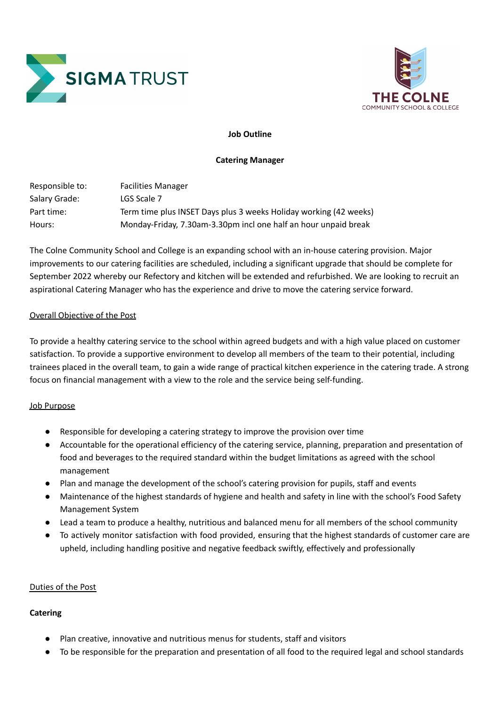



## **Job Outline**

### **Catering Manager**

| Responsible to: | <b>Facilities Manager</b>                                         |
|-----------------|-------------------------------------------------------------------|
| Salary Grade:   | LGS Scale 7                                                       |
| Part time:      | Term time plus INSET Days plus 3 weeks Holiday working (42 weeks) |
| Hours:          | Monday-Friday, 7.30am-3.30pm incl one half an hour unpaid break   |

The Colne Community School and College is an expanding school with an in-house catering provision. Major improvements to our catering facilities are scheduled, including a significant upgrade that should be complete for September 2022 whereby our Refectory and kitchen will be extended and refurbished. We are looking to recruit an aspirational Catering Manager who has the experience and drive to move the catering service forward.

### Overall Objective of the Post

To provide a healthy catering service to the school within agreed budgets and with a high value placed on customer satisfaction. To provide a supportive environment to develop all members of the team to their potential, including trainees placed in the overall team, to gain a wide range of practical kitchen experience in the catering trade. A strong focus on financial management with a view to the role and the service being self-funding.

### Job Purpose

- Responsible for developing a catering strategy to improve the provision over time
- Accountable for the operational efficiency of the catering service, planning, preparation and presentation of food and beverages to the required standard within the budget limitations as agreed with the school management
- Plan and manage the development of the school's catering provision for pupils, staff and events
- Maintenance of the highest standards of hygiene and health and safety in line with the school's Food Safety Management System
- Lead a team to produce a healthy, nutritious and balanced menu for all members of the school community
- To actively monitor satisfaction with food provided, ensuring that the highest standards of customer care are upheld, including handling positive and negative feedback swiftly, effectively and professionally

### Duties of the Post

## **Catering**

- Plan creative, innovative and nutritious menus for students, staff and visitors
- To be responsible for the preparation and presentation of all food to the required legal and school standards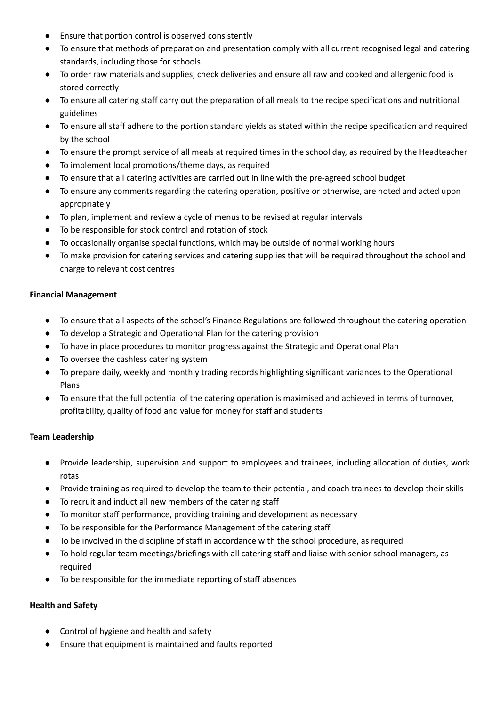- Ensure that portion control is observed consistently
- To ensure that methods of preparation and presentation comply with all current recognised legal and catering standards, including those for schools
- To order raw materials and supplies, check deliveries and ensure all raw and cooked and allergenic food is stored correctly
- To ensure all catering staff carry out the preparation of all meals to the recipe specifications and nutritional guidelines
- To ensure all staff adhere to the portion standard yields as stated within the recipe specification and required by the school
- To ensure the prompt service of all meals at required times in the school day, as required by the Headteacher
- To implement local promotions/theme days, as required
- To ensure that all catering activities are carried out in line with the pre-agreed school budget
- To ensure any comments regarding the catering operation, positive or otherwise, are noted and acted upon appropriately
- To plan, implement and review a cycle of menus to be revised at regular intervals
- To be responsible for stock control and rotation of stock
- To occasionally organise special functions, which may be outside of normal working hours
- To make provision for catering services and catering supplies that will be required throughout the school and charge to relevant cost centres

## **Financial Management**

- To ensure that all aspects of the school's Finance Regulations are followed throughout the catering operation
- To develop a Strategic and Operational Plan for the catering provision
- To have in place procedures to monitor progress against the Strategic and Operational Plan
- To oversee the cashless catering system
- To prepare daily, weekly and monthly trading records highlighting significant variances to the Operational Plans
- To ensure that the full potential of the catering operation is maximised and achieved in terms of turnover, profitability, quality of food and value for money for staff and students

## **Team Leadership**

- Provide leadership, supervision and support to employees and trainees, including allocation of duties, work rotas
- Provide training as required to develop the team to their potential, and coach trainees to develop their skills
- To recruit and induct all new members of the catering staff
- To monitor staff performance, providing training and development as necessary
- To be responsible for the Performance Management of the catering staff
- To be involved in the discipline of staff in accordance with the school procedure, as required
- To hold regular team meetings/briefings with all catering staff and liaise with senior school managers, as required
- To be responsible for the immediate reporting of staff absences

## **Health and Safety**

- Control of hygiene and health and safety
- Ensure that equipment is maintained and faults reported